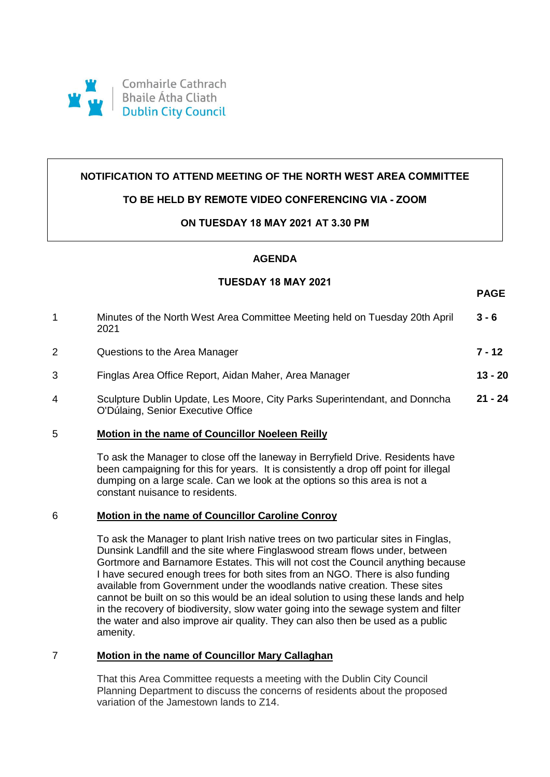

# **NOTIFICATION TO ATTEND MEETING OF THE NORTH WEST AREA COMMITTEE**

# **TO BE HELD BY REMOTE VIDEO CONFERENCING VIA - ZOOM**

# **ON TUESDAY 18 MAY 2021 AT 3.30 PM**

### **AGENDA**

# **TUESDAY 18 MAY 2021**

**PAGE**

| 1 | Minutes of the North West Area Committee Meeting held on Tuesday 20th April<br>2021                              | $3 - 6$   |
|---|------------------------------------------------------------------------------------------------------------------|-----------|
| 2 | Questions to the Area Manager                                                                                    | 7 - 12    |
| 3 | Finglas Area Office Report, Aidan Maher, Area Manager                                                            | $13 - 20$ |
| 4 | Sculpture Dublin Update, Les Moore, City Parks Superintendant, and Donncha<br>O'Dúlaing, Senior Executive Office | $21 - 24$ |

### 5 **Motion in the name of Councillor Noeleen Reilly**

To ask the Manager to close off the laneway in Berryfield Drive. Residents have been campaigning for this for years. It is consistently a drop off point for illegal dumping on a large scale. Can we look at the options so this area is not a constant nuisance to residents.

# 6 **Motion in the name of Councillor Caroline Conroy**

To ask the Manager to plant Irish native trees on two particular sites in Finglas, Dunsink Landfill and the site where Finglaswood stream flows under, between Gortmore and Barnamore Estates. This will not cost the Council anything because I have secured enough trees for both sites from an NGO. There is also funding available from Government under the woodlands native creation. These sites cannot be built on so this would be an ideal solution to using these lands and help in the recovery of biodiversity, slow water going into the sewage system and filter the water and also improve air quality. They can also then be used as a public amenity.

# 7 **Motion in the name of Councillor Mary Callaghan**

That this Area Committee requests a meeting with the Dublin City Council Planning Department to discuss the concerns of residents about the proposed variation of the Jamestown lands to Z14.